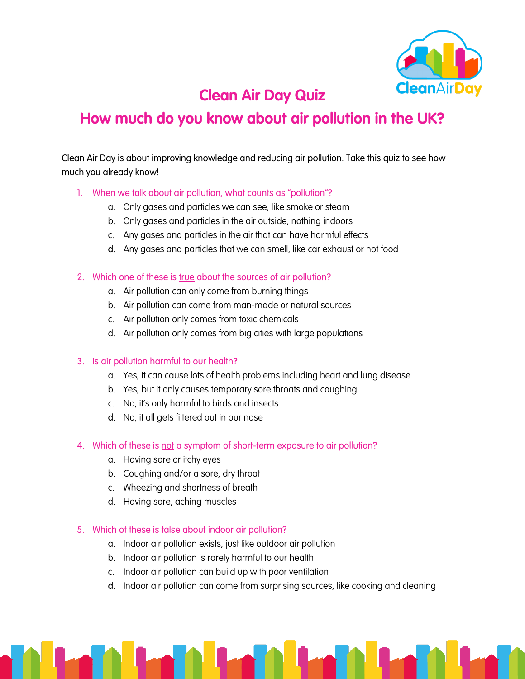

## **Clean Air Day Quiz**

# **How much do you know about air pollution in the UK?**

Clean Air Day is about improving knowledge and reducing air pollution. Take this quiz to see how much you already know!

- 1. When we talk about air pollution, what counts as "pollution"?
	- a. Only gases and particles we can see, like smoke or steam
	- b. Only gases and particles in the air outside, nothing indoors
	- c. Any gases and particles in the air that can have harmful effects
	- d. Any gases and particles that we can smell, like car exhaust or hot food
- 2. Which one of these is true about the sources of air pollution?
	- a. Air pollution can only come from burning things
	- b. Air pollution can come from man-made or natural sources
	- c. Air pollution only comes from toxic chemicals
	- d. Air pollution only comes from big cities with large populations

#### 3. Is air pollution harmful to our health?

- a. Yes, it can cause lots of health problems including heart and lung disease
- b. Yes, but it only causes temporary sore throats and coughing
- c. No, it's only harmful to birds and insects
- d. No, it all gets filtered out in our nose
- 4. Which of these is not a symptom of short-term exposure to air pollution?
	- a. Having sore or itchy eyes
	- b. Coughing and/or a sore, dry throat
	- c. Wheezing and shortness of breath
	- d. Having sore, aching muscles

#### 5. Which of these is false about indoor air pollution?

- a. Indoor air pollution exists, just like outdoor air pollution
- b. Indoor air pollution is rarely harmful to our health
- c. Indoor air pollution can build up with poor ventilation
- d. Indoor air pollution can come from surprising sources, like cooking and cleaning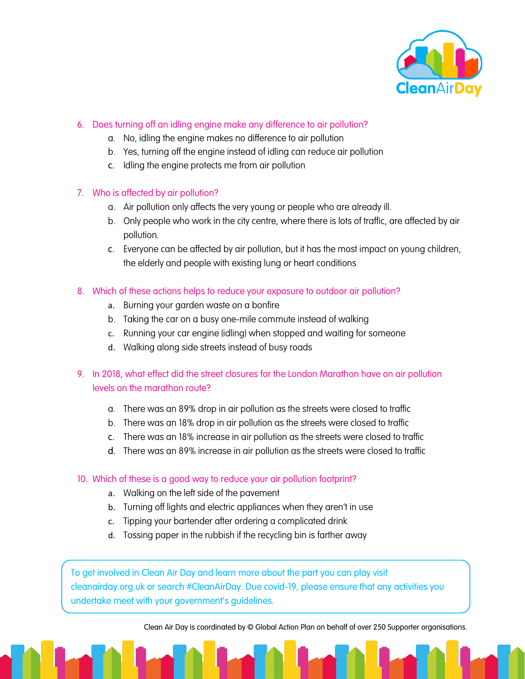

## 6. Does turning off an idling engine make any difference to air pollution?

- a. No, idling the engine makes no difference to air pollution
- b. Yes, turning off the engine instead of idling can reduce air pollution
- c. Idling the engine protects me from air pollution

### 7. Who is affected by air pollution?

- a. Air pollution only affects the very young or people who are already ill.
- b. Only people who work in the city centre, where there is lots of traffic, are affected by air pollution.
- c. Everyone can be affected by air pollution, but it has the most impact on young children, the elderly and people with existing lung or heart conditions
- 8. Which of these actions helps to reduce your exposure to outdoor air pollution?
	- a. Burning your garden waste on a bonfire
	- b. Taking the car on a busy one-mile commute instead of walking
	- c. Running your car engine (idling) when stopped and waiting for someone
	- d. Walking along side streets instead of busy roads
- 9. In 2018, what effect did the street closures for the London Marathon have on air pollution levels on the marathon route?
	- a. There was an 89% drop in air pollution as the streets were closed to traffic
	- b. There was an 18% drop in air pollution as the streets were closed to traffic
	- c. There was an 18% increase in air pollution as the streets were closed to traffic
	- d. There was an 89% increase in air pollution as the streets were closed to traffic
- 10. Which of these is a good way to reduce your air pollution footprint?
	- a. Walking on the left side of the pavement
	- b. Turning off lights and electric appliances when they aren't in use
	- c. Tipping your bartender after ordering a complicated drink
	- d. Tossing paper in the rubbish if the recycling bin is farther away

To get involved in Clean Air Day and learn more about the part you can play visit cleanairday.org.uk or search #CleanAirDay. Due covid-19, please ensure that any activities you undertake meet with your government's guidelines.

Clean Air Day is coordinated by © Global Action Plan on behalf of over 250 Supporter organisations.